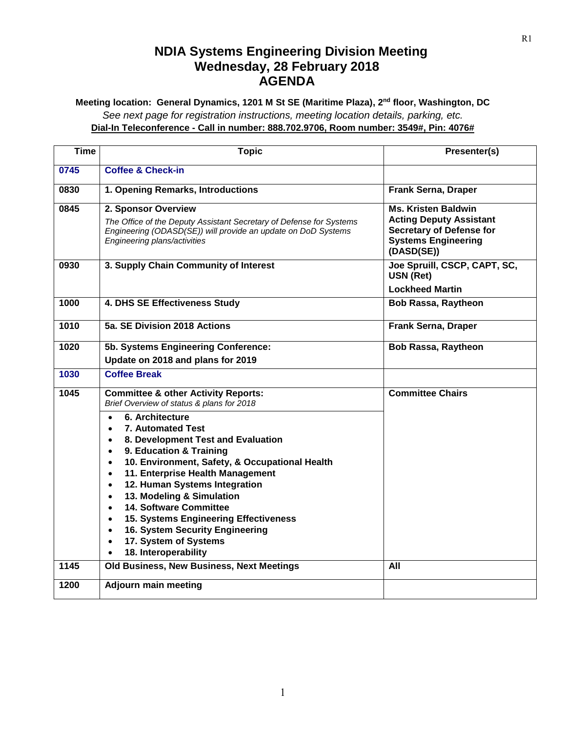## **NDIA Systems Engineering Division Meeting Wednesday, 28 February 2018 AGENDA**

**Meeting location: General Dynamics, 1201 M St SE (Maritime Plaza), 2nd floor, Washington, DC** *See next page for registration instructions, meeting location details, parking, etc.* **Dial-In Teleconference - Call in number: 888.702.9706, Room number: 3549#, Pin: 4076#**

| <b>Time</b> | <b>Topic</b>                                                                                                                                                                                                                                                                                                                                                                                                                                                                                                                                                                                                                                                    | Presenter(s)                                                                                                                                |
|-------------|-----------------------------------------------------------------------------------------------------------------------------------------------------------------------------------------------------------------------------------------------------------------------------------------------------------------------------------------------------------------------------------------------------------------------------------------------------------------------------------------------------------------------------------------------------------------------------------------------------------------------------------------------------------------|---------------------------------------------------------------------------------------------------------------------------------------------|
| 0745        | <b>Coffee &amp; Check-in</b>                                                                                                                                                                                                                                                                                                                                                                                                                                                                                                                                                                                                                                    |                                                                                                                                             |
| 0830        | 1. Opening Remarks, Introductions                                                                                                                                                                                                                                                                                                                                                                                                                                                                                                                                                                                                                               | <b>Frank Serna, Draper</b>                                                                                                                  |
| 0845        | 2. Sponsor Overview<br>The Office of the Deputy Assistant Secretary of Defense for Systems<br>Engineering (ODASD(SE)) will provide an update on DoD Systems<br>Engineering plans/activities                                                                                                                                                                                                                                                                                                                                                                                                                                                                     | <b>Ms. Kristen Baldwin</b><br><b>Acting Deputy Assistant</b><br><b>Secretary of Defense for</b><br><b>Systems Engineering</b><br>(DASD(SE)) |
| 0930        | 3. Supply Chain Community of Interest                                                                                                                                                                                                                                                                                                                                                                                                                                                                                                                                                                                                                           | Joe Spruill, CSCP, CAPT, SC,<br>USN (Ret)<br><b>Lockheed Martin</b>                                                                         |
| 1000        | 4. DHS SE Effectiveness Study                                                                                                                                                                                                                                                                                                                                                                                                                                                                                                                                                                                                                                   | <b>Bob Rassa, Raytheon</b>                                                                                                                  |
| 1010        | 5a. SE Division 2018 Actions                                                                                                                                                                                                                                                                                                                                                                                                                                                                                                                                                                                                                                    | <b>Frank Serna, Draper</b>                                                                                                                  |
| 1020        | 5b. Systems Engineering Conference:                                                                                                                                                                                                                                                                                                                                                                                                                                                                                                                                                                                                                             | <b>Bob Rassa, Raytheon</b>                                                                                                                  |
|             | Update on 2018 and plans for 2019                                                                                                                                                                                                                                                                                                                                                                                                                                                                                                                                                                                                                               |                                                                                                                                             |
| 1030        | <b>Coffee Break</b>                                                                                                                                                                                                                                                                                                                                                                                                                                                                                                                                                                                                                                             |                                                                                                                                             |
| 1045        | <b>Committee &amp; other Activity Reports:</b><br>Brief Overview of status & plans for 2018<br>6. Architecture<br>$\bullet$<br><b>7. Automated Test</b><br>$\bullet$<br>8. Development Test and Evaluation<br>$\bullet$<br>9. Education & Training<br>$\bullet$<br>10. Environment, Safety, & Occupational Health<br>$\bullet$<br>11. Enterprise Health Management<br>$\bullet$<br>12. Human Systems Integration<br>$\bullet$<br>13. Modeling & Simulation<br>$\bullet$<br><b>14. Software Committee</b><br>$\bullet$<br>15. Systems Engineering Effectiveness<br>$\bullet$<br>16. System Security Engineering<br>17. System of Systems<br>18. Interoperability | <b>Committee Chairs</b>                                                                                                                     |
| 1145        | Old Business, New Business, Next Meetings                                                                                                                                                                                                                                                                                                                                                                                                                                                                                                                                                                                                                       | All                                                                                                                                         |
| 1200        | <b>Adjourn main meeting</b>                                                                                                                                                                                                                                                                                                                                                                                                                                                                                                                                                                                                                                     |                                                                                                                                             |